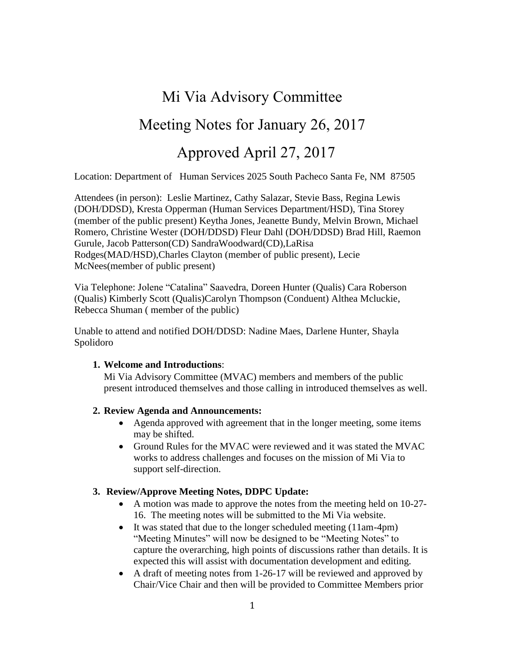# Mi Via Advisory Committee

## Meeting Notes for January 26, 2017

## Approved April 27, 2017

Location: Department of Human Services 2025 South Pacheco Santa Fe, NM 87505

Attendees (in person): Leslie Martinez, Cathy Salazar, Stevie Bass, Regina Lewis (DOH/DDSD), Kresta Opperman (Human Services Department/HSD), Tina Storey (member of the public present) Keytha Jones, Jeanette Bundy, Melvin Brown, Michael Romero, Christine Wester (DOH/DDSD) Fleur Dahl (DOH/DDSD) Brad Hill, Raemon Gurule, Jacob Patterson(CD) SandraWoodward(CD),LaRisa Rodges(MAD/HSD),Charles Clayton (member of public present), Lecie McNees(member of public present)

Via Telephone: Jolene "Catalina" Saavedra, Doreen Hunter (Qualis) Cara Roberson (Qualis) Kimberly Scott (Qualis)Carolyn Thompson (Conduent) Althea Mcluckie, Rebecca Shuman ( member of the public)

Unable to attend and notified DOH/DDSD: Nadine Maes, Darlene Hunter, Shayla Spolidoro

#### **1. Welcome and Introductions**:

Mi Via Advisory Committee (MVAC) members and members of the public present introduced themselves and those calling in introduced themselves as well.

#### **2. Review Agenda and Announcements:**

- Agenda approved with agreement that in the longer meeting, some items may be shifted.
- Ground Rules for the MVAC were reviewed and it was stated the MVAC works to address challenges and focuses on the mission of Mi Via to support self-direction.

#### **3. Review/Approve Meeting Notes, DDPC Update:**

- A motion was made to approve the notes from the meeting held on 10-27-16. The meeting notes will be submitted to the Mi Via website.
- It was stated that due to the longer scheduled meeting (11am-4pm) "Meeting Minutes" will now be designed to be "Meeting Notes" to capture the overarching, high points of discussions rather than details. It is expected this will assist with documentation development and editing.
- A draft of meeting notes from 1-26-17 will be reviewed and approved by Chair/Vice Chair and then will be provided to Committee Members prior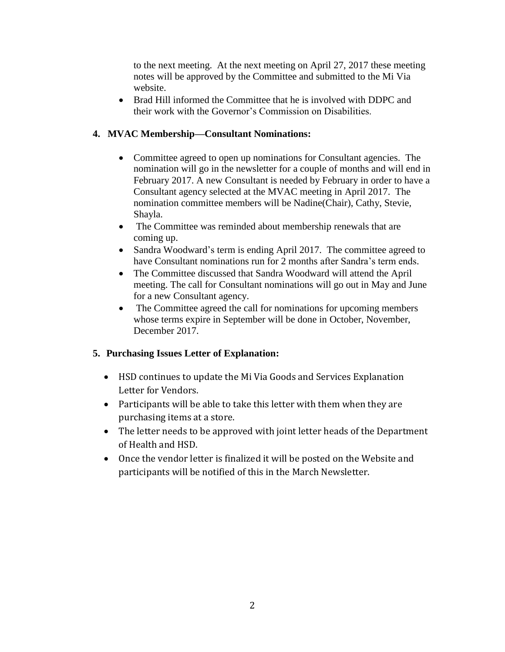to the next meeting. At the next meeting on April 27, 2017 these meeting notes will be approved by the Committee and submitted to the Mi Via website.

• Brad Hill informed the Committee that he is involved with DDPC and their work with the Governor's Commission on Disabilities.

### **4. MVAC Membership—Consultant Nominations:**

- Committee agreed to open up nominations for Consultant agencies. The nomination will go in the newsletter for a couple of months and will end in February 2017. A new Consultant is needed by February in order to have a Consultant agency selected at the MVAC meeting in April 2017. The nomination committee members will be Nadine(Chair), Cathy, Stevie, Shayla.
- The Committee was reminded about membership renewals that are coming up.
- Sandra Woodward's term is ending April 2017. The committee agreed to have Consultant nominations run for 2 months after Sandra's term ends.
- The Committee discussed that Sandra Woodward will attend the April meeting. The call for Consultant nominations will go out in May and June for a new Consultant agency.
- The Committee agreed the call for nominations for upcoming members whose terms expire in September will be done in October, November, December 2017.

## **5. Purchasing Issues Letter of Explanation:**

- HSD continues to update the Mi Via Goods and Services Explanation Letter for Vendors.
- Participants will be able to take this letter with them when they are purchasing items at a store.
- The letter needs to be approved with joint letter heads of the Department of Health and HSD.
- Once the vendor letter is finalized it will be posted on the Website and participants will be notified of this in the March Newsletter.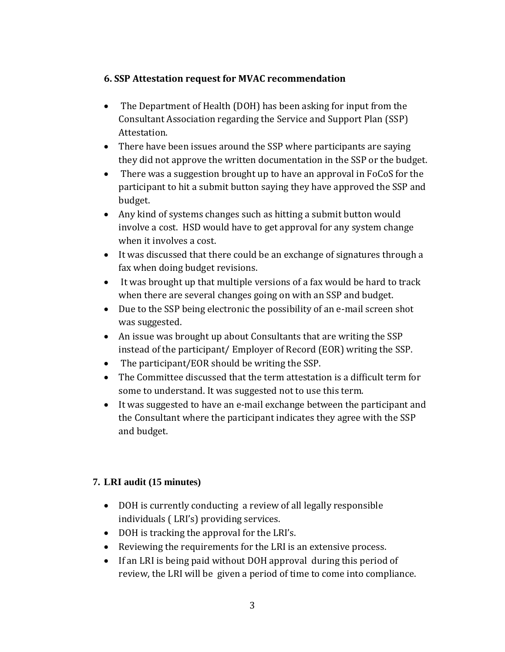## **6. SSP Attestation request for MVAC recommendation**

- The Department of Health (DOH) has been asking for input from the Consultant Association regarding the Service and Support Plan (SSP) Attestation.
- There have been issues around the SSP where participants are saying they did not approve the written documentation in the SSP or the budget.
- There was a suggestion brought up to have an approval in FoCoS for the participant to hit a submit button saying they have approved the SSP and budget.
- Any kind of systems changes such as hitting a submit button would involve a cost. HSD would have to get approval for any system change when it involves a cost.
- It was discussed that there could be an exchange of signatures through a fax when doing budget revisions.
- It was brought up that multiple versions of a fax would be hard to track when there are several changes going on with an SSP and budget.
- Due to the SSP being electronic the possibility of an e-mail screen shot was suggested.
- An issue was brought up about Consultants that are writing the SSP instead of the participant/ Employer of Record (EOR) writing the SSP.
- The participant/EOR should be writing the SSP.
- The Committee discussed that the term attestation is a difficult term for some to understand. It was suggested not to use this term.
- It was suggested to have an e-mail exchange between the participant and the Consultant where the participant indicates they agree with the SSP and budget.

## **7. LRI audit (15 minutes)**

- DOH is currently conducting a review of all legally responsible individuals ( LRI's) providing services.
- DOH is tracking the approval for the LRI's.
- Reviewing the requirements for the LRI is an extensive process.
- If an LRI is being paid without DOH approval during this period of review, the LRI will be given a period of time to come into compliance.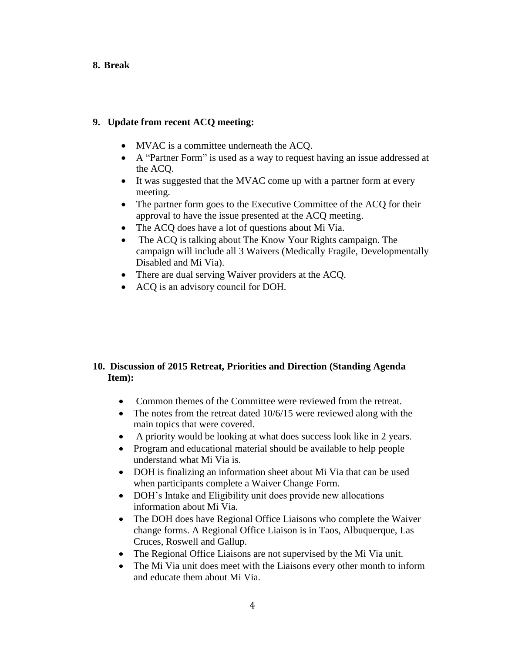#### **8. Break**

#### **9. Update from recent ACQ meeting:**

- MVAC is a committee underneath the ACQ.
- A "Partner Form" is used as a way to request having an issue addressed at the ACQ.
- It was suggested that the MVAC come up with a partner form at every meeting.
- The partner form goes to the Executive Committee of the ACO for their approval to have the issue presented at the ACQ meeting.
- The ACO does have a lot of questions about Mi Via.
- The ACQ is talking about The Know Your Rights campaign. The campaign will include all 3 Waivers (Medically Fragile, Developmentally Disabled and Mi Via).
- There are dual serving Waiver providers at the ACQ.
- ACQ is an advisory council for DOH.

### **10. Discussion of 2015 Retreat, Priorities and Direction (Standing Agenda Item):**

- Common themes of the Committee were reviewed from the retreat.
- The notes from the retreat dated 10/6/15 were reviewed along with the main topics that were covered.
- A priority would be looking at what does success look like in 2 years.
- Program and educational material should be available to help people understand what Mi Via is.
- DOH is finalizing an information sheet about Mi Via that can be used when participants complete a Waiver Change Form.
- DOH's Intake and Eligibility unit does provide new allocations information about Mi Via.
- The DOH does have Regional Office Liaisons who complete the Waiver change forms. A Regional Office Liaison is in Taos, Albuquerque, Las Cruces, Roswell and Gallup.
- The Regional Office Liaisons are not supervised by the Mi Via unit.
- The Mi Via unit does meet with the Liaisons every other month to inform and educate them about Mi Via.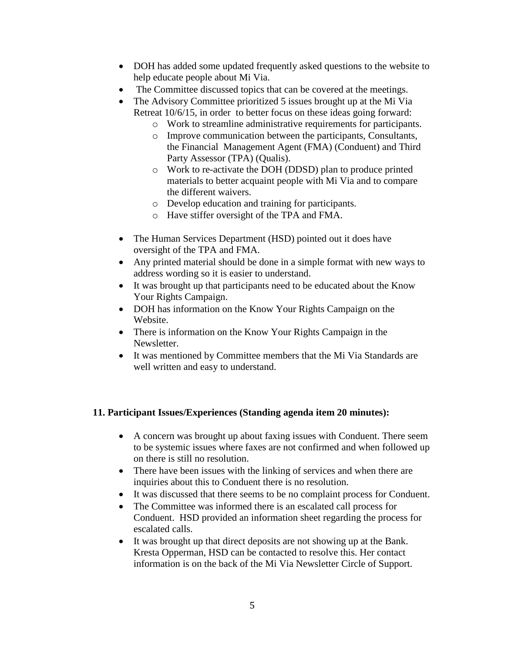- DOH has added some updated frequently asked questions to the website to help educate people about Mi Via.
- The Committee discussed topics that can be covered at the meetings.
- The Advisory Committee prioritized 5 issues brought up at the Mi Via Retreat 10/6/15, in order to better focus on these ideas going forward:
	- o Work to streamline administrative requirements for participants.
	- o Improve communication between the participants, Consultants, the Financial Management Agent (FMA) (Conduent) and Third Party Assessor (TPA) (Qualis).
	- o Work to re-activate the DOH (DDSD) plan to produce printed materials to better acquaint people with Mi Via and to compare the different waivers.
	- o Develop education and training for participants.
	- o Have stiffer oversight of the TPA and FMA.
- The Human Services Department (HSD) pointed out it does have oversight of the TPA and FMA.
- Any printed material should be done in a simple format with new ways to address wording so it is easier to understand.
- It was brought up that participants need to be educated about the Know Your Rights Campaign.
- DOH has information on the Know Your Rights Campaign on the Website.
- There is information on the Know Your Rights Campaign in the Newsletter.
- It was mentioned by Committee members that the Mi Via Standards are well written and easy to understand.

### **11. Participant Issues/Experiences (Standing agenda item 20 minutes):**

- A concern was brought up about faxing issues with Conduent. There seem to be systemic issues where faxes are not confirmed and when followed up on there is still no resolution.
- There have been issues with the linking of services and when there are inquiries about this to Conduent there is no resolution.
- It was discussed that there seems to be no complaint process for Conduent.
- The Committee was informed there is an escalated call process for Conduent. HSD provided an information sheet regarding the process for escalated calls.
- It was brought up that direct deposits are not showing up at the Bank. Kresta Opperman, HSD can be contacted to resolve this. Her contact information is on the back of the Mi Via Newsletter Circle of Support.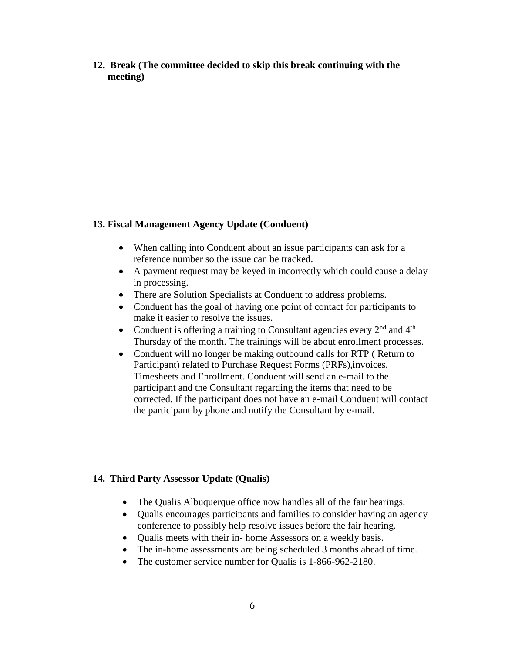**12. Break (The committee decided to skip this break continuing with the meeting)**

#### **13. Fiscal Management Agency Update (Conduent)**

- When calling into Conduent about an issue participants can ask for a reference number so the issue can be tracked.
- A payment request may be keyed in incorrectly which could cause a delay in processing.
- There are Solution Specialists at Conduent to address problems.
- Conduent has the goal of having one point of contact for participants to make it easier to resolve the issues.
- Conduent is offering a training to Consultant agencies every  $2<sup>nd</sup>$  and  $4<sup>th</sup>$ Thursday of the month. The trainings will be about enrollment processes.
- Conduent will no longer be making outbound calls for RTP (Return to Participant) related to Purchase Request Forms (PRFs),invoices, Timesheets and Enrollment. Conduent will send an e-mail to the participant and the Consultant regarding the items that need to be corrected. If the participant does not have an e-mail Conduent will contact the participant by phone and notify the Consultant by e-mail.

## **14. Third Party Assessor Update (Qualis)**

- The Qualis Albuquerque office now handles all of the fair hearings.
- Qualis encourages participants and families to consider having an agency conference to possibly help resolve issues before the fair hearing.
- Qualis meets with their in- home Assessors on a weekly basis.
- The in-home assessments are being scheduled 3 months ahead of time.
- The customer service number for Qualis is 1-866-962-2180.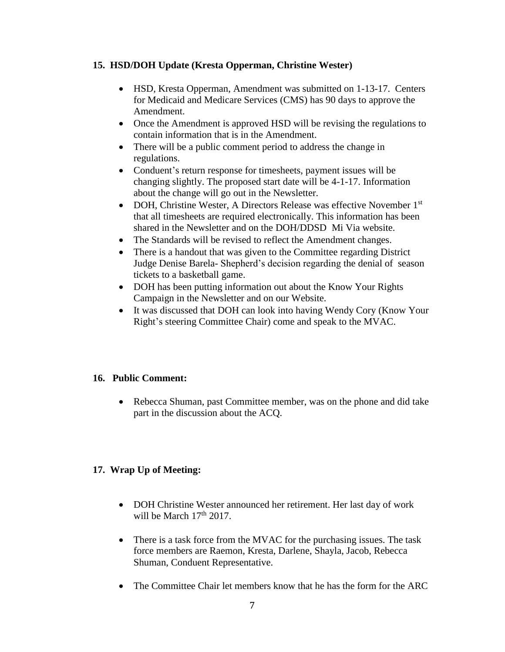#### **15. HSD/DOH Update (Kresta Opperman, Christine Wester)**

- HSD, Kresta Opperman, Amendment was submitted on 1-13-17. Centers for Medicaid and Medicare Services (CMS) has 90 days to approve the Amendment.
- Once the Amendment is approved HSD will be revising the regulations to contain information that is in the Amendment.
- There will be a public comment period to address the change in regulations.
- Conduent's return response for timesheets, payment issues will be changing slightly. The proposed start date will be 4-1-17. Information about the change will go out in the Newsletter.
- DOH, Christine Wester, A Directors Release was effective November 1<sup>st</sup> that all timesheets are required electronically. This information has been shared in the Newsletter and on the DOH/DDSD Mi Via website.
- The Standards will be revised to reflect the Amendment changes.
- There is a handout that was given to the Committee regarding District Judge Denise Barela- Shepherd's decision regarding the denial of season tickets to a basketball game.
- DOH has been putting information out about the Know Your Rights Campaign in the Newsletter and on our Website.
- It was discussed that DOH can look into having Wendy Cory (Know Your Right's steering Committee Chair) come and speak to the MVAC.

### **16. Public Comment:**

• Rebecca Shuman, past Committee member, was on the phone and did take part in the discussion about the ACQ.

### **17. Wrap Up of Meeting:**

- DOH Christine Wester announced her retirement. Her last day of work will be March  $17<sup>th</sup> 2017$ .
- There is a task force from the MVAC for the purchasing issues. The task force members are Raemon, Kresta, Darlene, Shayla, Jacob, Rebecca Shuman, Conduent Representative.
- The Committee Chair let members know that he has the form for the ARC